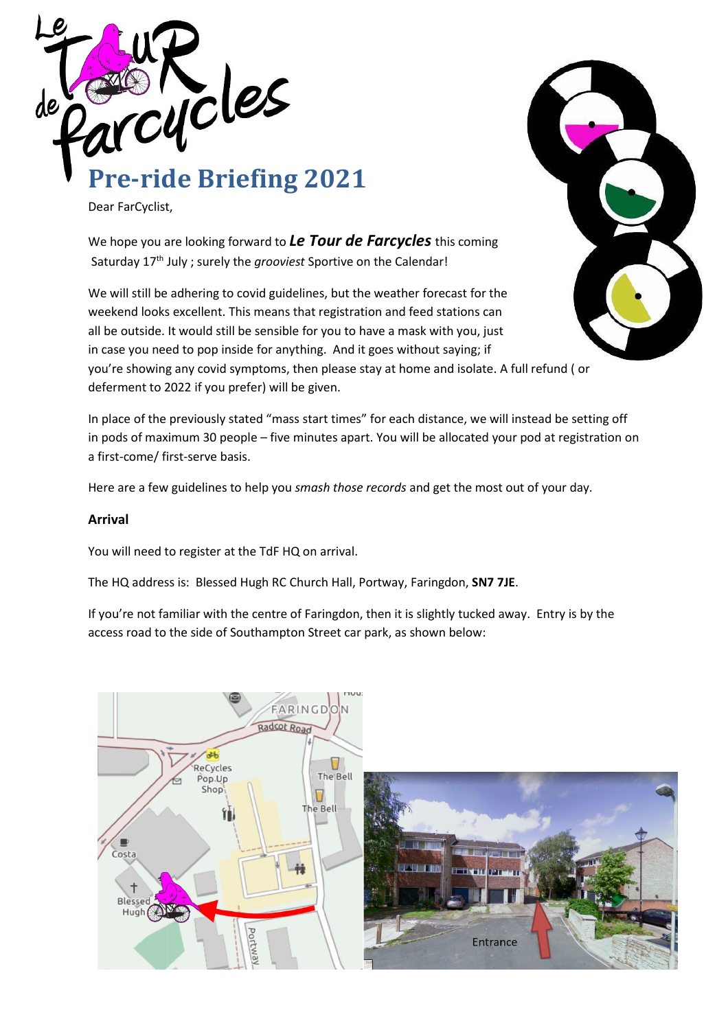

Dear FarCyclist,

We hope you are looking forward to *Le Tour de Farcycles* this coming Saturday 17th July ; surely the *grooviest* Sportive on the Calendar!

We will still be adhering to covid guidelines, but the weather forecast for the weekend looks excellent. This means that registration and feed stations can all be outside. It would still be sensible for you to have a mask with you, just in case you need to pop inside for anything. And it goes without saying; if you're showing any covid symptoms, then please stay at home and isolate. A full refund ( or deferment to 2022 if you prefer) will be given.

In place of the previously stated "mass start times" for each distance, we will instead be setting off in pods of maximum 30 people – five minutes apart. You will be allocated your pod at registration on a first-come/ first-serve basis.

Here are a few guidelines to help you *smash those records* and get the most out of your day.

#### **Arrival**

You will need to register at the TdF HQ on arrival.

The HQ address is: Blessed Hugh RC Church Hall, Portway, Faringdon, **SN7 7JE**.

If you're not familiar with the centre of Faringdon, then it is slightly tucked away. Entry is by the access road to the side of Southampton Street car park, as shown below:

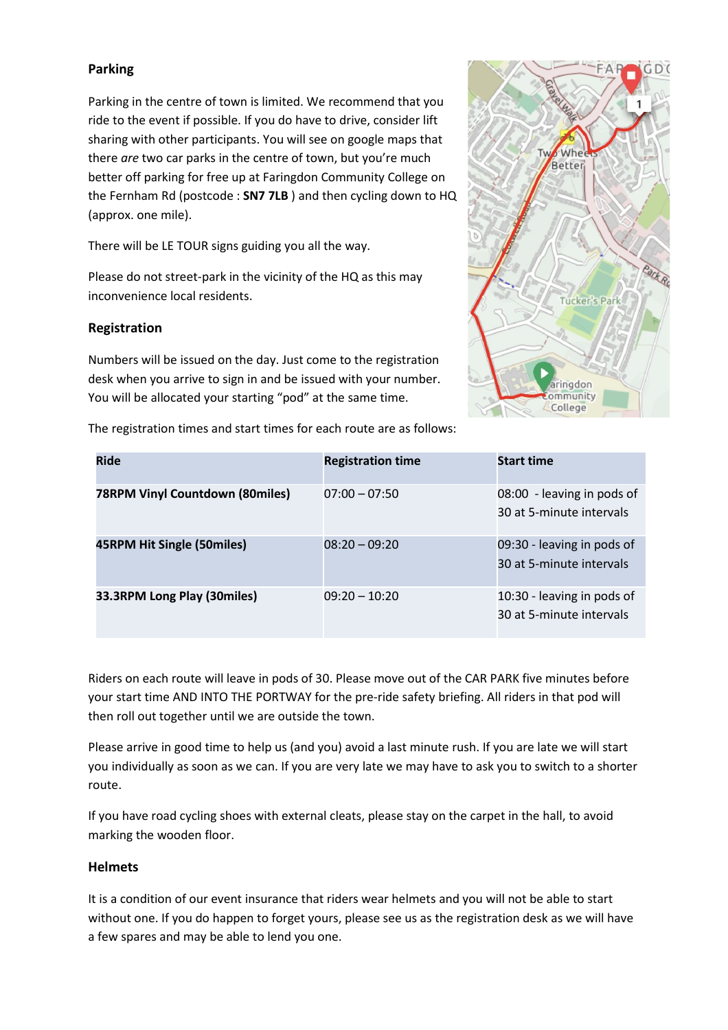## **Parking**

Parking in the centre of town is limited. We recommend that you ride to the event if possible. If you do have to drive, consider lift sharing with other participants. You will see on google maps that there *are* two car parks in the centre of town, but you're much better off parking for free up at Faringdon Community College on the Fernham Rd (postcode : **SN7 7LB** ) and then cycling down to HQ (approx. one mile).

There will be LE TOUR signs guiding you all the way.

Please do not street-park in the vicinity of the HQ as this may inconvenience local residents.

#### **Registration**

Numbers will be issued on the day. Just come to the registration desk when you arrive to sign in and be issued with your number. You will be allocated your starting "pod" at the same time.

The registration times and start times for each route are as follows:



| <b>Ride</b>                            | <b>Registration time</b> | <b>Start time</b>                                      |
|----------------------------------------|--------------------------|--------------------------------------------------------|
| <b>78RPM Vinyl Countdown (80miles)</b> | $07:00 - 07:50$          | 08:00 - leaving in pods of<br>30 at 5-minute intervals |
| 45RPM Hit Single (50miles)             | $08:20 - 09:20$          | 09:30 - leaving in pods of<br>30 at 5-minute intervals |
| 33.3RPM Long Play (30miles)            | $09:20 - 10:20$          | 10:30 - leaving in pods of<br>30 at 5-minute intervals |

Riders on each route will leave in pods of 30. Please move out of the CAR PARK five minutes before your start time AND INTO THE PORTWAY for the pre-ride safety briefing. All riders in that pod will then roll out together until we are outside the town.

Please arrive in good time to help us (and you) avoid a last minute rush. If you are late we will start you individually as soon as we can. If you are very late we may have to ask you to switch to a shorter route.

If you have road cycling shoes with external cleats, please stay on the carpet in the hall, to avoid marking the wooden floor.

#### **Helmets**

It is a condition of our event insurance that riders wear helmets and you will not be able to start without one. If you do happen to forget yours, please see us as the registration desk as we will have a few spares and may be able to lend you one.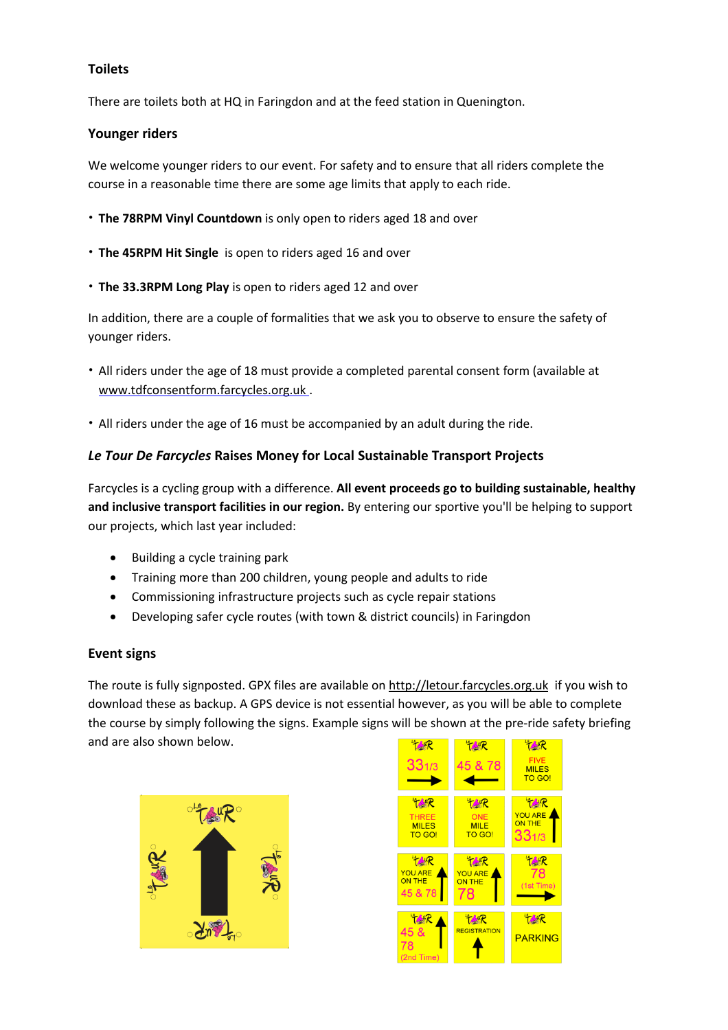### **Toilets**

There are toilets both at HQ in Faringdon and at the feed station in Quenington.

#### **Younger riders**

We welcome younger riders to our event. For safety and to ensure that all riders complete the course in a reasonable time there are some age limits that apply to each ride.

- **The 78RPM Vinyl Countdown** is only open to riders aged 18 and over
- **The 45RPM Hit Single** is open to riders aged 16 and over
- **The 33.3RPM Long Play** is open to riders aged 12 and over

In addition, there are a couple of formalities that we ask you to observe to ensure the safety of younger riders.

- All riders under the age of 18 must provide a completed parental consent form (available at [www.tdfconsentform.farcycles.org.uk](http://www.tdfconsentform.farcycles.org.uk/) .
- All riders under the age of 16 must be accompanied by an adult during the ride.

## *Le Tour De Farcycles* **Raises Money for Local Sustainable Transport Projects**

Farcycles is a cycling group with a difference. **All event proceeds go to building sustainable, healthy and inclusive transport facilities in our region.** By entering our sportive you'll be helping to support our projects, which last year included:

- Building a cycle [training](https://farcycles.weebly.com/cycle-park.html) park
- Training more than 200 [children,](https://farcycles.weebly.com/cycle-teaching.html) young people and adults to ride
- Commissioning infrastructure projects such as cycle repair stations
- Developing safer cycle routes (with town & district councils) in Faringdon

#### **Event signs**

The route is fully signposted. GPX files are available on [http://letour.farcycles.org.uk](http://letour.farcycles.org.uk/) if you wish to download these as backup. A GPS device is not essential however, as you will be able to complete the course by simply following the signs. Example signs will be shown at the pre-ride safety briefing and are also shown below.**TANR** 



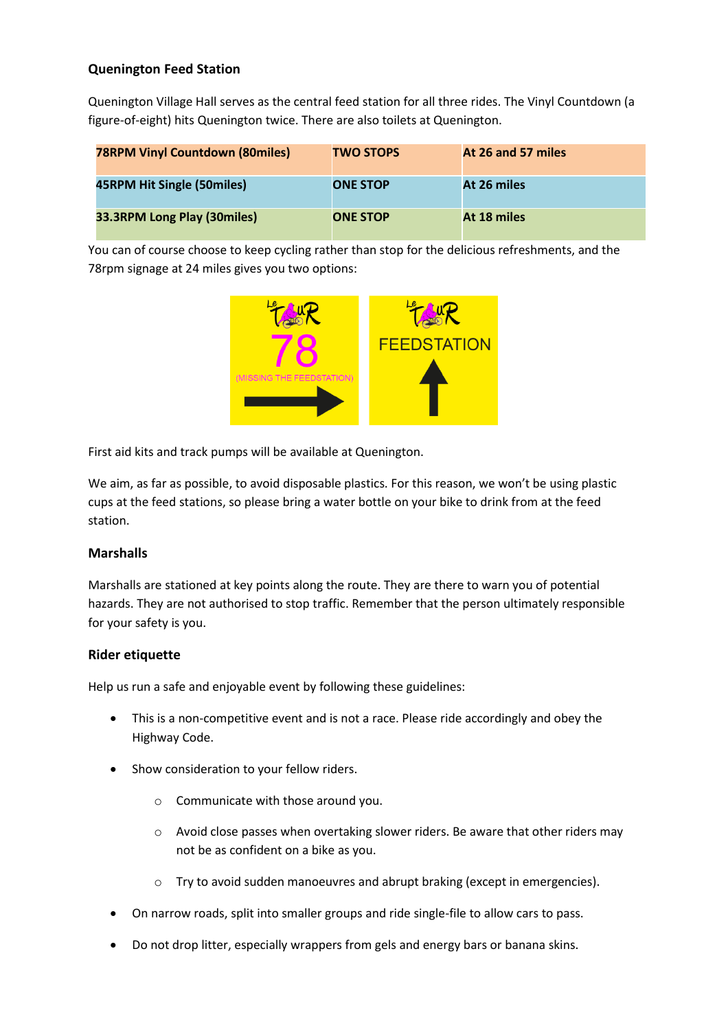## **Quenington Feed Station**

Quenington Village Hall serves as the central feed station for all three rides. The Vinyl Countdown (a figure-of-eight) hits Quenington twice. There are also toilets at Quenington.

| <b>78RPM Vinyl Countdown (80miles)</b> | <b>TWO STOPS</b> | At 26 and 57 miles |
|----------------------------------------|------------------|--------------------|
| 45RPM Hit Single (50miles)             | <b>ONE STOP</b>  | At 26 miles        |
| <b>33.3RPM Long Play (30miles)</b>     | <b>ONE STOP</b>  | At 18 miles        |

You can of course choose to keep cycling rather than stop for the delicious refreshments, and the 78rpm signage at 24 miles gives you two options:



First aid kits and track pumps will be available at Quenington.

We aim, as far as possible, to avoid disposable plastics. For this reason, we won't be using plastic cups at the feed stations, so please bring a water bottle on your bike to drink from at the feed station.

# **Marshalls**

Marshalls are stationed at key points along the route. They are there to warn you of potential hazards. They are not authorised to stop traffic. Remember that the person ultimately responsible for your safety is you.

# **Rider etiquette**

Help us run a safe and enjoyable event by following these guidelines:

- This is a non-competitive event and is not a race. Please ride accordingly and obey the Highway Code.
- Show consideration to your fellow riders.
	- o Communicate with those around you.
	- o Avoid close passes when overtaking slower riders. Be aware that other riders may not be as confident on a bike as you.
	- o Try to avoid sudden manoeuvres and abrupt braking (except in emergencies).
- On narrow roads, split into smaller groups and ride single-file to allow cars to pass.
- Do not drop litter, especially wrappers from gels and energy bars or banana skins.